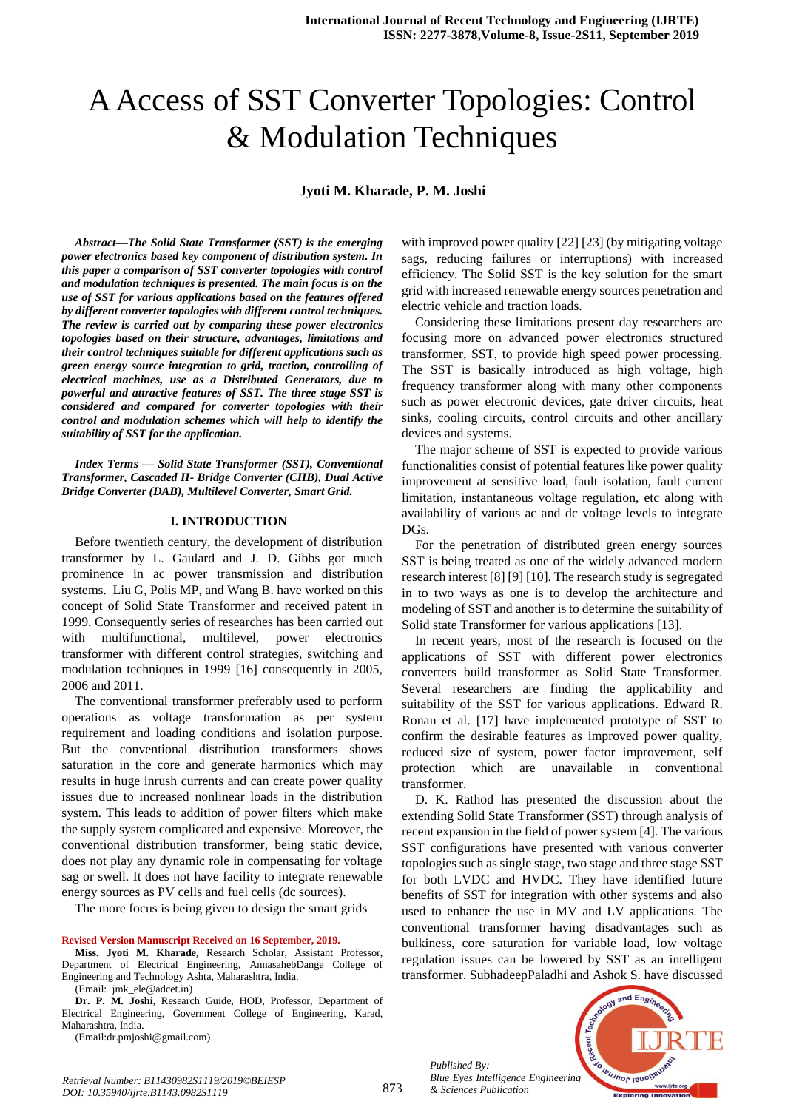# A Access of SST Converter Topologies: Control & Modulation Techniques

#### **Jyoti M. Kharade, P. M. Joshi**

*Abstract***—***The Solid State Transformer (SST) is the emerging power electronics based key component of distribution system. In this paper a comparison of SST converter topologies with control and modulation techniques is presented. The main focus is on the use of SST for various applications based on the features offered by different converter topologies with different control techniques. The review is carried out by comparing these power electronics topologies based on their structure, advantages, limitations and their control techniques suitable for different applications such as green energy source integration to grid, traction, controlling of electrical machines, use as a Distributed Generators, due to powerful and attractive features of SST. The three stage SST is considered and compared for converter topologies with their control and modulation schemes which will help to identify the suitability of SST for the application.* 

*Index Terms — Solid State Transformer (SST), Conventional Transformer, Cascaded H- Bridge Converter (CHB), Dual Active Bridge Converter (DAB), Multilevel Converter, Smart Grid.*

#### **I. INTRODUCTION**

Before twentieth century, the development of distribution transformer by L. Gaulard and J. D. Gibbs got much prominence in ac power transmission and distribution systems. Liu G, Polis MP, and Wang B. have worked on this concept of Solid State Transformer and received patent in 1999. Consequently series of researches has been carried out with multifunctional, multilevel, power electronics transformer with different control strategies, switching and modulation techniques in 1999 [16] consequently in 2005, 2006 and 2011.

The conventional transformer preferably used to perform operations as voltage transformation as per system requirement and loading conditions and isolation purpose. But the conventional distribution transformers shows saturation in the core and generate harmonics which may results in huge inrush currents and can create power quality issues due to increased nonlinear loads in the distribution system. This leads to addition of power filters which make the supply system complicated and expensive. Moreover, the conventional distribution transformer, being static device, does not play any dynamic role in compensating for voltage sag or swell. It does not have facility to integrate renewable energy sources as PV cells and fuel cells (dc sources).

The more focus is being given to design the smart grids

#### **Revised Version Manuscript Received on 16 September, 2019.**

**Miss. Jyoti M. Kharade,** Research Scholar, Assistant Professor, Department of Electrical Engineering, AnnasahebDange College of Engineering and Technology Ashta, Maharashtra, India.

(Email: jmk\_ele@adcet.in)

**Dr. P. M. Joshi**, Research Guide, HOD, Professor, Department of Electrical Engineering, Government College of Engineering, Karad, Maharashtra, India.

(Email:dr.pmjoshi@gmail.com)

with improved power quality [22] [23] (by mitigating voltage sags, reducing failures or interruptions) with increased efficiency. The Solid SST is the key solution for the smart grid with increased renewable energy sources penetration and electric vehicle and traction loads.

Considering these limitations present day researchers are focusing more on advanced power electronics structured transformer, SST, to provide high speed power processing. The SST is basically introduced as high voltage, high frequency transformer along with many other components such as power electronic devices, gate driver circuits, heat sinks, cooling circuits, control circuits and other ancillary devices and systems.

The major scheme of SST is expected to provide various functionalities consist of potential features like power quality improvement at sensitive load, fault isolation, fault current limitation, instantaneous voltage regulation, etc along with availability of various ac and dc voltage levels to integrate DGs.

For the penetration of distributed green energy sources SST is being treated as one of the widely advanced modern research interest [8] [9] [10]. The research study is segregated in to two ways as one is to develop the architecture and modeling of SST and another is to determine the suitability of Solid state Transformer for various applications [13].

In recent years, most of the research is focused on the applications of SST with different power electronics converters build transformer as Solid State Transformer. Several researchers are finding the applicability and suitability of the SST for various applications. Edward R. Ronan et al. [17] have implemented prototype of SST to confirm the desirable features as improved power quality, reduced size of system, power factor improvement, self protection which are unavailable in conventional transformer.

D. K. Rathod has presented the discussion about the extending Solid State Transformer (SST) through analysis of recent expansion in the field of power system [4]. The various SST configurations have presented with various converter topologies such as single stage, two stage and three stage SST for both LVDC and HVDC. They have identified future benefits of SST for integration with other systems and also used to enhance the use in MV and LV applications. The conventional transformer having disadvantages such as bulkiness, core saturation for variable load, low voltage regulation issues can be lowered by SST as an intelligent transformer. SubhadeepPaladhi and Ashok S. have discussed

*Published By: Blue Eyes Intelligence Engineering & Sciences Publication* 



873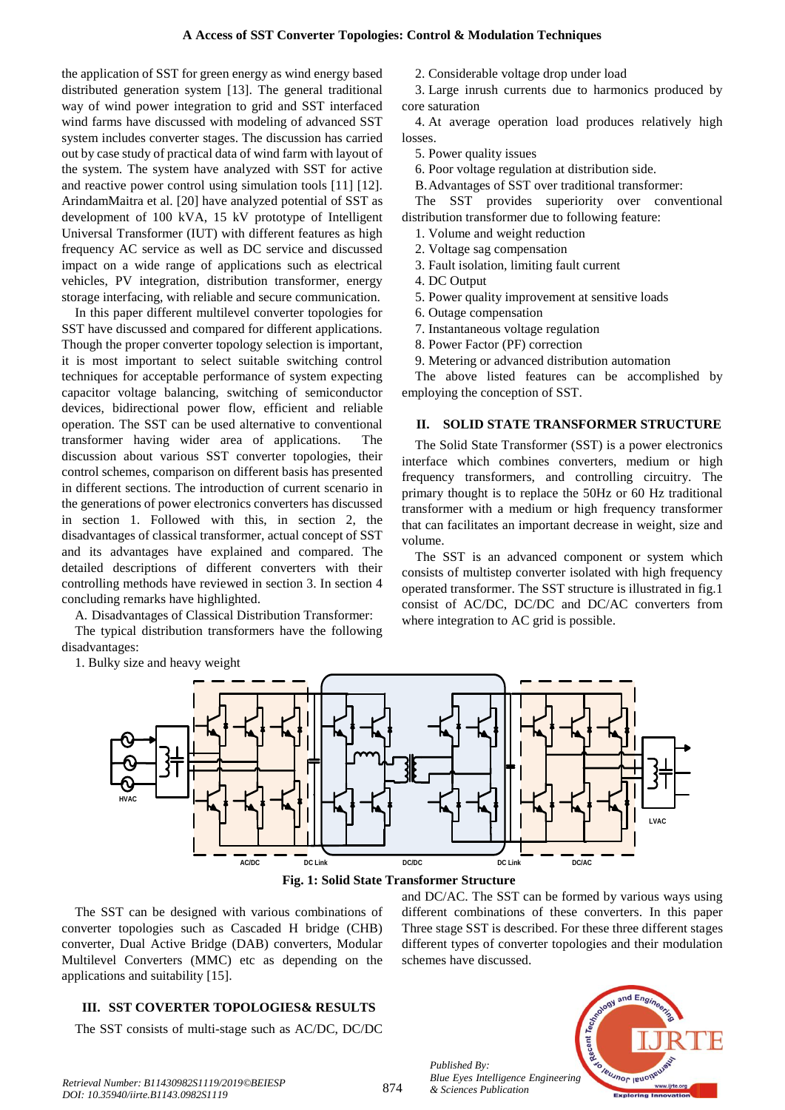the application of SST for green energy as wind energy based distributed generation system [13]. The general traditional way of wind power integration to grid and SST interfaced wind farms have discussed with modeling of advanced SST system includes converter stages. The discussion has carried out by case study of practical data of wind farm with layout of the system. The system have analyzed with SST for active and reactive power control using simulation tools [11] [12]. ArindamMaitra et al. [20] have analyzed potential of SST as development of 100 kVA, 15 kV prototype of Intelligent Universal Transformer (IUT) with different features as high frequency AC service as well as DC service and discussed impact on a wide range of applications such as electrical vehicles, PV integration, distribution transformer, energy storage interfacing, with reliable and secure communication.

In this paper different multilevel converter topologies for SST have discussed and compared for different applications. Though the proper converter topology selection is important, it is most important to select suitable switching control techniques for acceptable performance of system expecting capacitor voltage balancing, switching of semiconductor devices, bidirectional power flow, efficient and reliable operation. The SST can be used alternative to conventional transformer having wider area of applications. The discussion about various SST converter topologies, their control schemes, comparison on different basis has presented in different sections. The introduction of current scenario in the generations of power electronics converters has discussed in section 1. Followed with this, in section 2, the disadvantages of classical transformer, actual concept of SST and its advantages have explained and compared. The detailed descriptions of different converters with their controlling methods have reviewed in section 3. In section 4 concluding remarks have highlighted.

A. Disadvantages of Classical Distribution Transformer:

The typical distribution transformers have the following disadvantages:

1. Bulky size and heavy weight

- 2. Considerable voltage drop under load
- 3. Large inrush currents due to harmonics produced by core saturation

4. At average operation load produces relatively high losses.

- 5. Power quality issues
- 6. Poor voltage regulation at distribution side.
- B.Advantages of SST over traditional transformer:

The SST provides superiority over conventional distribution transformer due to following feature:

- 1. Volume and weight reduction
- 2. Voltage sag compensation
- 3. Fault isolation, limiting fault current
- 4. DC Output
- 5. Power quality improvement at sensitive loads
- 6. Outage compensation
- 7. Instantaneous voltage regulation
- 8. Power Factor (PF) correction
- 9. Metering or advanced distribution automation

The above listed features can be accomplished by employing the conception of SST.

### **II. SOLID STATE TRANSFORMER STRUCTURE**

The Solid State Transformer (SST) is a power electronics interface which combines converters, medium or high frequency transformers, and controlling circuitry. The primary thought is to replace the 50Hz or 60 Hz traditional transformer with a medium or high frequency transformer that can facilitates an important decrease in weight, size and volume.

The SST is an advanced component or system which consists of multistep converter isolated with high frequency operated transformer. The SST structure is illustrated in fig.1 consist of AC/DC, DC/DC and DC/AC converters from where integration to AC grid is possible.





The SST can be designed with various combinations of converter topologies such as Cascaded H bridge (CHB) converter, Dual Active Bridge (DAB) converters, Modular Multilevel Converters (MMC) etc as depending on the applications and suitability [15].

### **III. SST COVERTER TOPOLOGIES& RESULTS**

The SST consists of multi-stage such as AC/DC, DC/DC

and DC/AC. The SST can be formed by various ways using different combinations of these converters. In this paper Three stage SST is described. For these three different stages different types of converter topologies and their modulation schemes have discussed.



*Published By:*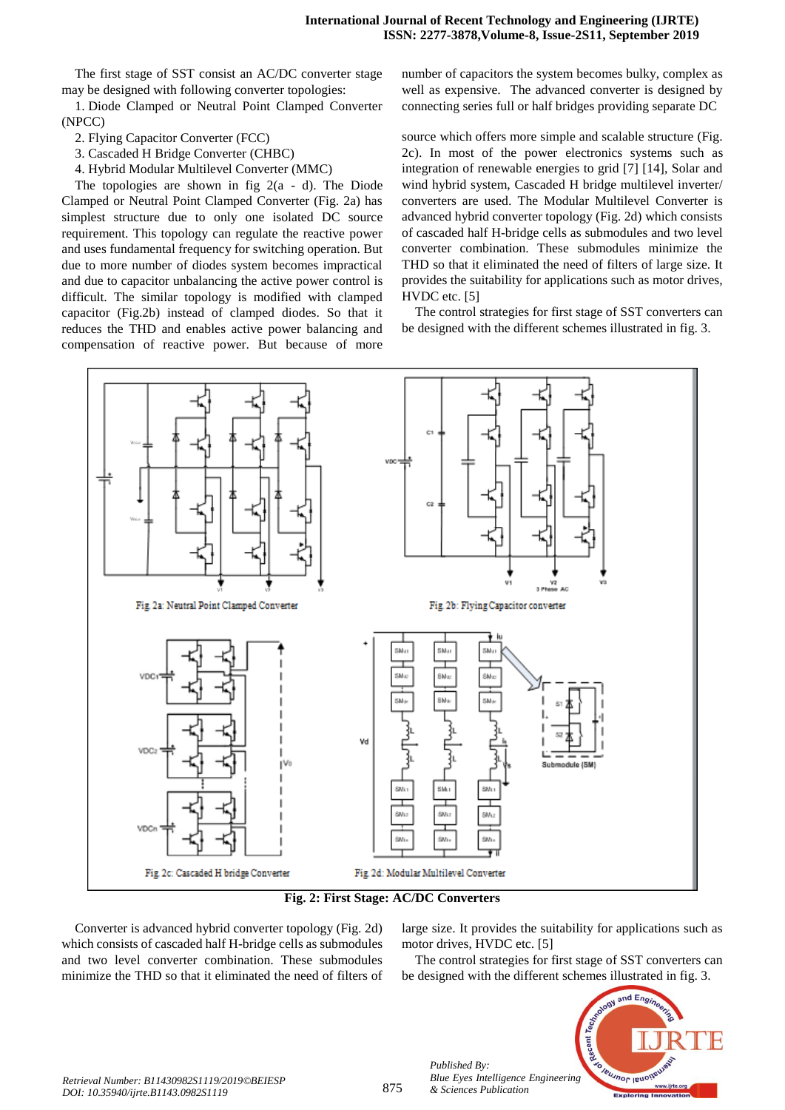The first stage of SST consist an AC/DC converter stage may be designed with following converter topologies:

1. Diode Clamped or Neutral Point Clamped Converter (NPCC)

2. Flying Capacitor Converter (FCC)

3. Cascaded H Bridge Converter (CHBC)

4. Hybrid Modular Multilevel Converter (MMC)

The topologies are shown in fig  $2(a - d)$ . The Diode Clamped or Neutral Point Clamped Converter (Fig. 2a) has simplest structure due to only one isolated DC source requirement. This topology can regulate the reactive power and uses fundamental frequency for switching operation. But due to more number of diodes system becomes impractical and due to capacitor unbalancing the active power control is difficult. The similar topology is modified with clamped capacitor (Fig.2b) instead of clamped diodes. So that it reduces the THD and enables active power balancing and compensation of reactive power. But because of more

number of capacitors the system becomes bulky, complex as well as expensive. The advanced converter is designed by connecting series full or half bridges providing separate DC

source which offers more simple and scalable structure (Fig. 2c). In most of the power electronics systems such as integration of renewable energies to grid [7] [14], Solar and wind hybrid system, Cascaded H bridge multilevel inverter/ converters are used. The Modular Multilevel Converter is advanced hybrid converter topology (Fig. 2d) which consists of cascaded half H-bridge cells as submodules and two level converter combination. These submodules minimize the THD so that it eliminated the need of filters of large size. It provides the suitability for applications such as motor drives, HVDC etc. [5]

The control strategies for first stage of SST converters can be designed with the different schemes illustrated in fig. 3.



**Fig. 2: First Stage: AC/DC Converters**

Converter is advanced hybrid converter topology (Fig. 2d) which consists of cascaded half H-bridge cells as submodules and two level converter combination. These submodules minimize the THD so that it eliminated the need of filters of large size. It provides the suitability for applications such as motor drives, HVDC etc. [5]

The control strategies for first stage of SST converters can be designed with the different schemes illustrated in fig. 3.



*Published By:*

*& Sciences Publication*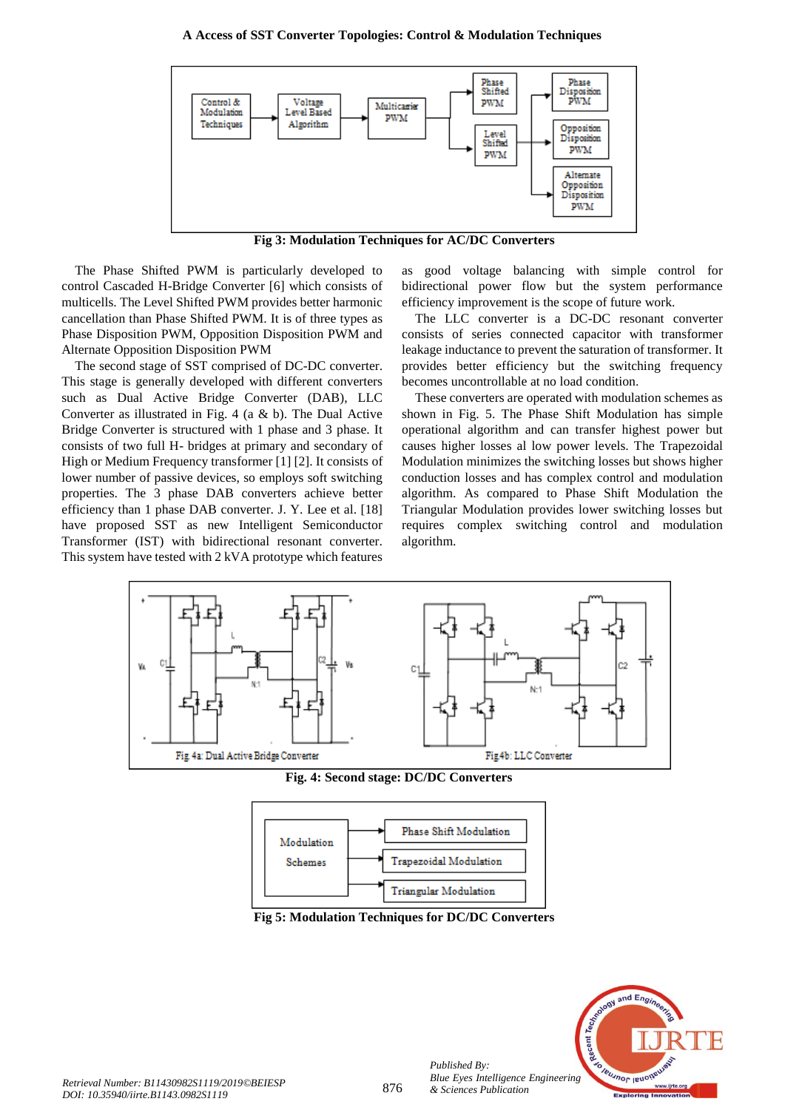#### **A Access of SST Converter Topologies: Control & Modulation Techniques**



**Fig 3: Modulation Techniques for AC/DC Converters**

The Phase Shifted PWM is particularly developed to control Cascaded H-Bridge Converter [6] which consists of multicells. The Level Shifted PWM provides better harmonic cancellation than Phase Shifted PWM. It is of three types as Phase Disposition PWM, Opposition Disposition PWM and Alternate Opposition Disposition PWM

The second stage of SST comprised of DC-DC converter. This stage is generally developed with different converters such as Dual Active Bridge Converter (DAB), LLC Converter as illustrated in Fig. 4 (a & b). The Dual Active Bridge Converter is structured with 1 phase and 3 phase. It consists of two full H- bridges at primary and secondary of High or Medium Frequency transformer [1] [2]. It consists of lower number of passive devices, so employs soft switching properties. The 3 phase DAB converters achieve better efficiency than 1 phase DAB converter. J. Y. Lee et al. [18] have proposed SST as new Intelligent Semiconductor Transformer (IST) with bidirectional resonant converter. This system have tested with 2 kVA prototype which features

as good voltage balancing with simple control for bidirectional power flow but the system performance efficiency improvement is the scope of future work.

The LLC converter is a DC-DC resonant converter consists of series connected capacitor with transformer leakage inductance to prevent the saturation of transformer. It provides better efficiency but the switching frequency becomes uncontrollable at no load condition.

These converters are operated with modulation schemes as shown in Fig. 5. The Phase Shift Modulation has simple operational algorithm and can transfer highest power but causes higher losses al low power levels. The Trapezoidal Modulation minimizes the switching losses but shows higher conduction losses and has complex control and modulation algorithm. As compared to Phase Shift Modulation the Triangular Modulation provides lower switching losses but requires complex switching control and modulation algorithm.



**Fig. 4: Second stage: DC/DC Converters**



**Fig 5: Modulation Techniques for DC/DC Converters**



*Published By:*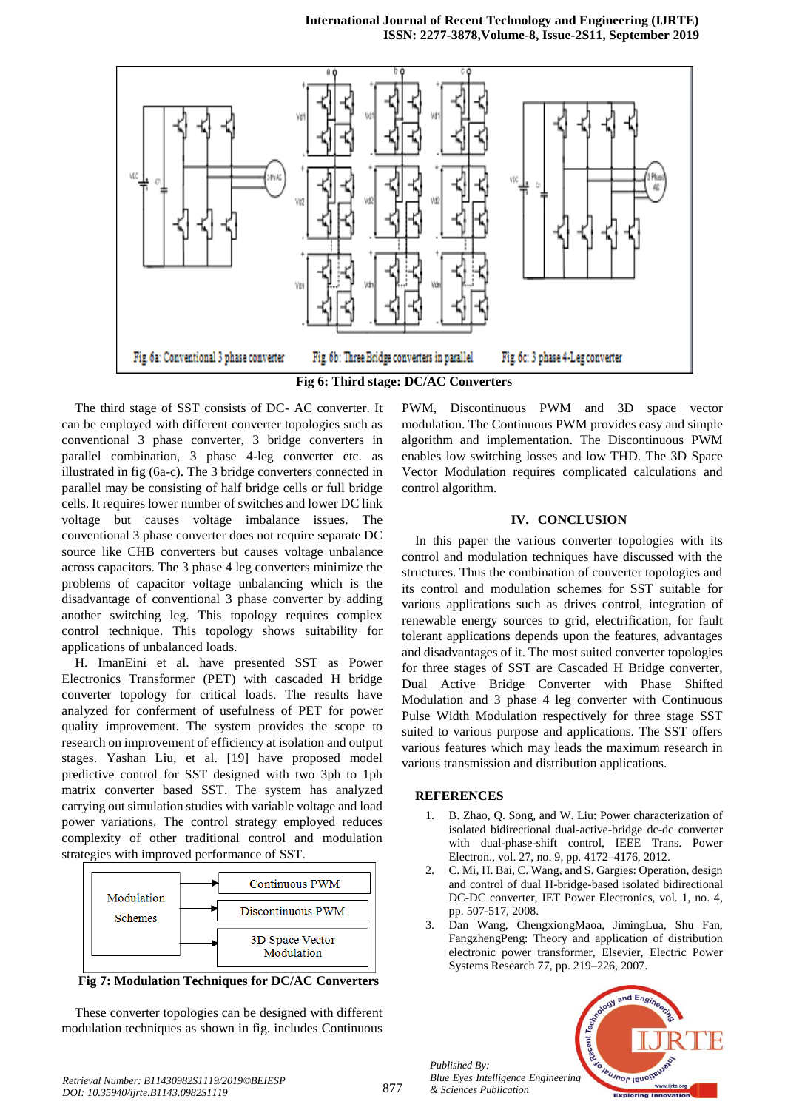#### **International Journal of Recent Technology and Engineering (IJRTE) ISSN: 2277-3878,Volume-8, Issue-2S11, September 2019**



The third stage of SST consists of DC- AC converter. It can be employed with different converter topologies such as conventional 3 phase converter, 3 bridge converters in parallel combination, 3 phase 4-leg converter etc. as illustrated in fig (6a-c). The 3 bridge converters connected in parallel may be consisting of half bridge cells or full bridge cells. It requires lower number of switches and lower DC link voltage but causes voltage imbalance issues. The conventional 3 phase converter does not require separate DC source like CHB converters but causes voltage unbalance across capacitors. The 3 phase 4 leg converters minimize the problems of capacitor voltage unbalancing which is the disadvantage of conventional 3 phase converter by adding another switching leg. This topology requires complex control technique. This topology shows suitability for applications of unbalanced loads.

H. ImanEini et al. have presented SST as Power Electronics Transformer (PET) with cascaded H bridge converter topology for critical loads. The results have analyzed for conferment of usefulness of PET for power quality improvement. The system provides the scope to research on improvement of efficiency at isolation and output stages. Yashan Liu, et al. [19] have proposed model predictive control for SST designed with two 3ph to 1ph matrix converter based SST. The system has analyzed carrying out simulation studies with variable voltage and load power variations. The control strategy employed reduces complexity of other traditional control and modulation strategies with improved performance of SST.



**Fig 7: Modulation Techniques for DC/AC Converters**

These converter topologies can be designed with different modulation techniques as shown in fig. includes Continuous

PWM, Discontinuous PWM and 3D space vector modulation. The Continuous PWM provides easy and simple algorithm and implementation. The Discontinuous PWM enables low switching losses and low THD. The 3D Space Vector Modulation requires complicated calculations and control algorithm.

# **IV. CONCLUSION**

In this paper the various converter topologies with its control and modulation techniques have discussed with the structures. Thus the combination of converter topologies and its control and modulation schemes for SST suitable for various applications such as drives control, integration of renewable energy sources to grid, electrification, for fault tolerant applications depends upon the features, advantages and disadvantages of it. The most suited converter topologies for three stages of SST are Cascaded H Bridge converter, Dual Active Bridge Converter with Phase Shifted Modulation and 3 phase 4 leg converter with Continuous Pulse Width Modulation respectively for three stage SST suited to various purpose and applications. The SST offers various features which may leads the maximum research in various transmission and distribution applications.

## **REFERENCES**

*Published By:*

*& Sciences Publication* 

- 1. B. Zhao, Q. Song, and W. Liu: Power characterization of isolated bidirectional dual-active-bridge dc-dc converter with dual-phase-shift control, IEEE Trans. Power Electron., vol. 27, no. 9, pp. 4172–4176, 2012.
- 2. C. Mi, H. Bai, C. Wang, and S. Gargies: Operation, design and control of dual H-bridge-based isolated bidirectional DC-DC converter, IET Power Electronics, vol. 1, no. 4, pp. 507-517, 2008.
- 3. Dan Wang, ChengxiongMaoa, JimingLua, Shu Fan, FangzhengPeng: Theory and application of distribution electronic power transformer, Elsevier, Electric Power Systems Research 77, pp. 219–226, 2007.



*Retrieval Number: B11430982S1119/2019©BEIESP DOI: 10.35940/ijrte.B1143.0982S1119*